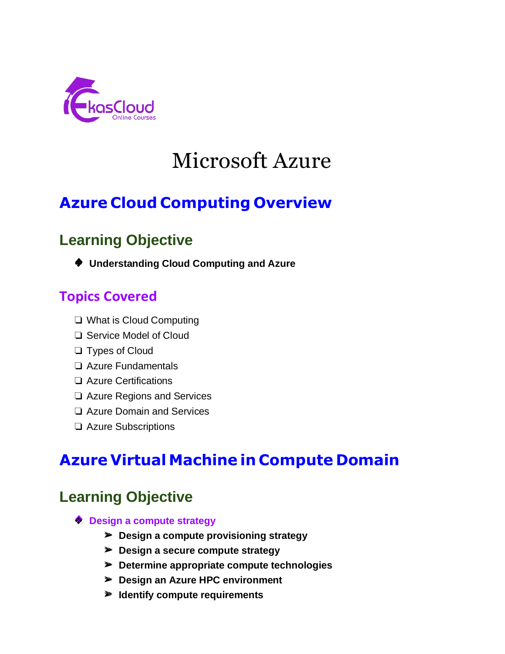

# Microsoft Azure

# **Azure Cloud Computing Overview**

# **Learning Objective**

❖ **Understanding Cloud Computing and Azure**

### **Topics Covered**

- ❏ What is Cloud Computing
- ❏ Service Model of Cloud
- ❏ Types of Cloud
- ❏ Azure Fundamentals
- ❏ Azure Certifications
- ❏ Azure Regions and Services
- ❏ Azure Domain and Services
- ❏ Azure Subscriptions

# **Azure Virtual Machine in Compute Domain**

- ❖ **Design a compute strategy**
	- ➢ **Design a compute provisioning strategy**
	- ➢ **Design a secure compute strategy**
	- ➢ **Determine appropriate compute technologies**
	- ➢ **Design an Azure HPC environment**
	- ➢ **Identify compute requirements**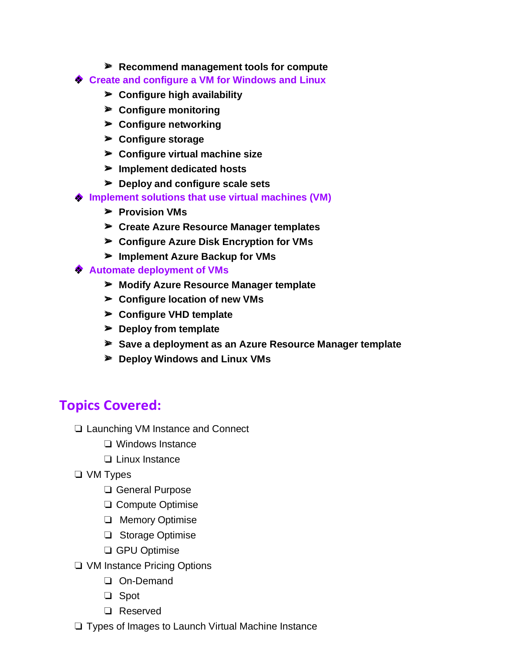- ➢ **Recommend management tools for compute**
- **Create and configure a VM for Windows and Linux** ❖
	- ➢ **Configure high availability**
	- ➢ **Configure monitoring**
	- ➢ **Configure networking**
	- ➢ **Configure storage**
	- ➢ **Configure virtual machine size**
	- ➢ **Implement dedicated hosts**
	- ➢ **Deploy and configure scale sets**
- **♦ Implement solutions that use virtual machines (VM)** 
	- ➢ **Provision VMs**
	- ➢ **Create Azure Resource Manager templates**
	- ➢ **Configure Azure Disk Encryption for VMs**
	- ➢ **Implement Azure Backup for VMs**
- **Automate deployment of VMs** ❖
	- ➢ **Modify Azure Resource Manager template**
	- ➢ **Configure location of new VMs**
	- ➢ **Configure VHD template**
	- ➢ **Deploy from template**
	- ➢ **Save a deployment as an Azure Resource Manager template**
	- ➢ **Deploy Windows and Linux VMs**

- ❏ Launching VM Instance and Connect
	- ❏ Windows Instance
	- ❏ Linux Instance
- ❏ VM Types
	- ❏ General Purpose
	- ❏ Compute Optimise
	- ❏ Memory Optimise
	- ❏ Storage Optimise
	- ❏ GPU Optimise
- ❏ VM Instance Pricing Options
	- ❏ On-Demand
	- ❏ Spot
	- ❏ Reserved
- ❏ Types of Images to Launch Virtual Machine Instance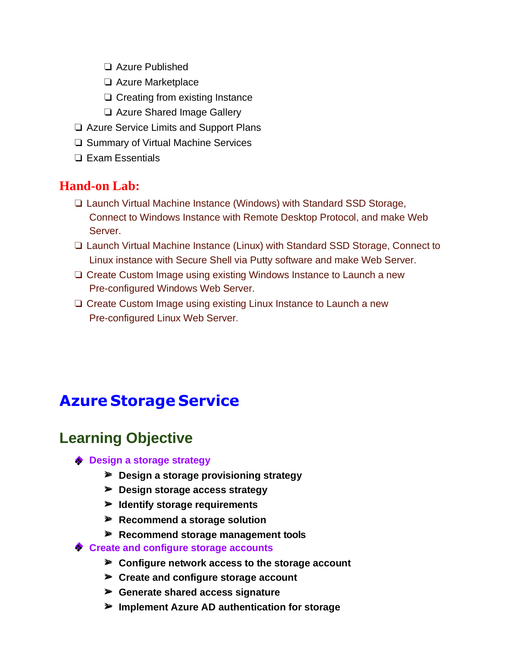- ❏ Azure Published
- ❏ Azure Marketplace
- ❏ Creating from existing Instance
- ❏ Azure Shared Image Gallery
- ❏ Azure Service Limits and Support Plans
- ❏ Summary of Virtual Machine Services
- ❏ Exam Essentials

#### **Hand-on Lab:**

- ❏ Launch Virtual Machine Instance (Windows) with Standard SSD Storage, Connect to Windows Instance with Remote Desktop Protocol, and make Web Server.
- ❏ Launch Virtual Machine Instance (Linux) with Standard SSD Storage, Connect to Linux instance with Secure Shell via Putty software and make Web Server.
- ❏ Create Custom Image using existing Windows Instance to Launch a new Pre-configured Windows Web Server.
- ❏ Create Custom Image using existing Linux Instance to Launch a new Pre-configured Linux Web Server.

### **Azure Storage Service**

- **Design a storage strategy** ❖
	- ➢ **Design a storage provisioning strategy**
	- ➢ **Design storage access strategy**
	- ➢ **Identify storage requirements**
	- ➢ **Recommend a storage solution**
	- ➢ **Recommend storage management tools**
- **Create and configure storage accounts** ❖
	- ➢ **Configure network access to the storage account**
	- ➢ **Create and configure storage account**
	- ➢ **Generate shared access signature**
	- ➢ **Implement Azure AD authentication for storage**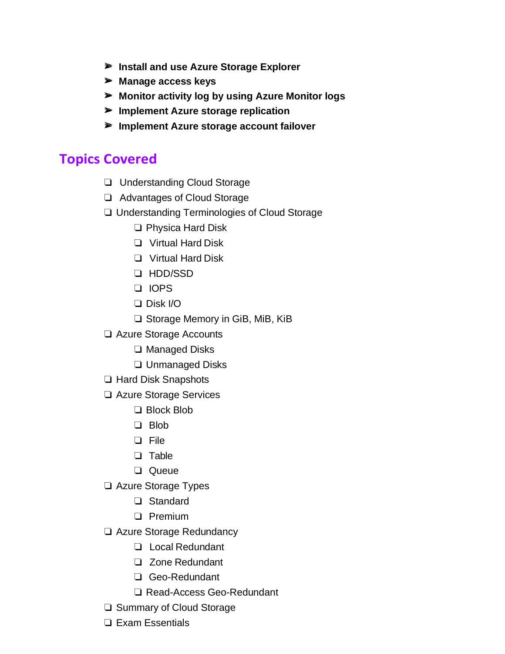- ➢ **Install and use Azure Storage Explorer**
- ➢ **Manage access keys**
- ➢ **Monitor activity log by using Azure Monitor logs**
- ➢ **Implement Azure storage replication**
- ➢ **Implement Azure storage account failover**

- ❏ Understanding Cloud Storage
- ❏ Advantages of Cloud Storage
- ❏ Understanding Terminologies of Cloud Storage
	- ❏ Physica Hard Disk
	- ❏ Virtual Hard Disk
	- ❏ Virtual Hard Disk
	- ❏ HDD/SSD
	- ❏ IOPS
	- ❏ Disk I/O
	- ❏ Storage Memory in GiB, MiB, KiB
- ❏ Azure Storage Accounts
	- ❏ Managed Disks
	- ❏ Unmanaged Disks
- ❏ Hard Disk Snapshots
- ❏ Azure Storage Services
	- ❏ Block Blob
	- ❏ Blob
	- ❏ File
	- ❏ Table
	- ❏ Queue
- ❏ Azure Storage Types
	- ❏ Standard
	- ❏ Premium
- ❏ Azure Storage Redundancy
	- ❏ Local Redundant
	- ❏ Zone Redundant
	- ❏ Geo-Redundant
	- ❏ Read-Access Geo-Redundant
- ❏ Summary of Cloud Storage
- ❏ Exam Essentials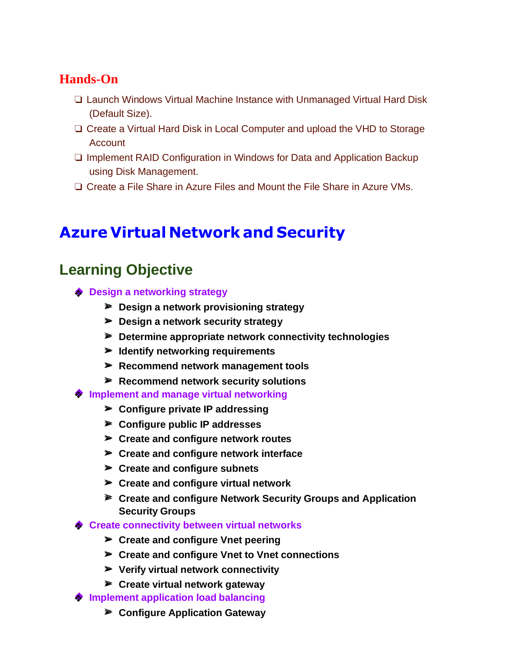### **Hands-On**

- ❏ Launch Windows Virtual Machine Instance with Unmanaged Virtual Hard Disk (Default Size).
- ❏ Create a Virtual Hard Disk in Local Computer and upload the VHD to Storage Account
- ❏ Implement RAID Configuration in Windows for Data and Application Backup using Disk Management.
- ❏ Create a File Share in Azure Files and Mount the File Share in Azure VMs.

# **Azure Virtual Network and Security**

- **◆ Design a networking strategy** 
	- ➢ **Design a network provisioning strategy**
	- ➢ **Design a network security strategy**
	- ➢ **Determine appropriate network connectivity technologies**
	- ➢ **Identify networking requirements**
	- ➢ **Recommend network management tools**
	- ➢ **Recommend network security solutions**
- **Implement and manage virtual networking** ❖
	- ➢ **Configure private IP addressing**
	- ➢ **Configure public IP addresses**
	- ➢ **Create and configure network routes**
	- ➢ **Create and configure network interface**
	- ➢ **Create and configure subnets**
	- ➢ **Create and configure virtual network**
	- ➢ **Create and configure Network Security Groups and Application Security Groups**
- **♦ Create connectivity between virtual networks** 
	- ➢ **Create and configure Vnet peering**
	- ➢ **Create and configure Vnet to Vnet connections**
	- ➢ **Verify virtual network connectivity**
	- ➢ **Create virtual network gateway**
- **Implement application load balancing** ❖
	- ➢ **Configure Application Gateway**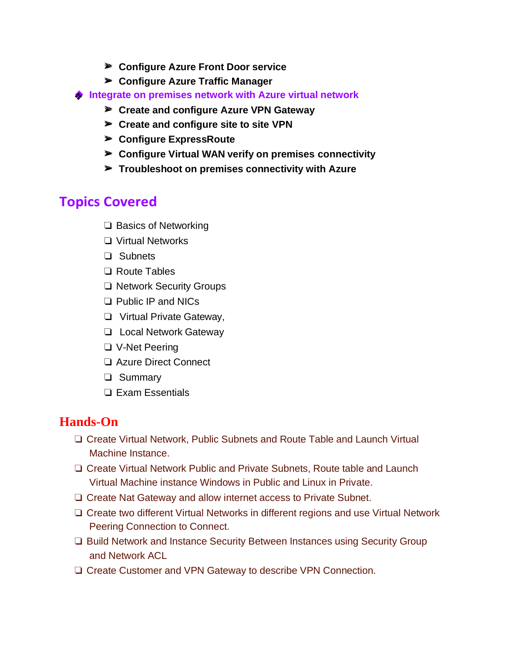- ➢ **Configure Azure Front Door service**
- ➢ **Configure Azure Traffic Manager**
- **♦ Integrate on premises network with Azure virtual network** 
	- ➢ **Create and configure Azure VPN Gateway**
	- ➢ **Create and configure site to site VPN**
	- ➢ **Configure ExpressRoute**
	- ➢ **Configure Virtual WAN verify on premises connectivity**
	- ➢ **Troubleshoot on premises connectivity with Azure**

- ❏ Basics of Networking
- ❏ Virtual Networks
- ❏ Subnets
- ❏ Route Tables
- ❏ Network Security Groups
- ❏ Public IP and NICs
- ❏ Virtual Private Gateway,
- ❏ Local Network Gateway
- ❏ V-Net Peering
- ❏ Azure Direct Connect
- ❏ Summary
- ❏ Exam Essentials

#### **Hands-On**

- ❏ Create Virtual Network, Public Subnets and Route Table and Launch Virtual Machine Instance.
- ❏ Create Virtual Network Public and Private Subnets, Route table and Launch Virtual Machine instance Windows in Public and Linux in Private.
- ❏ Create Nat Gateway and allow internet access to Private Subnet.
- ❏ Create two different Virtual Networks in different regions and use Virtual Network Peering Connection to Connect.
- ❏ Build Network and Instance Security Between Instances using Security Group and Network ACL
- ❏ Create Customer and VPN Gateway to describe VPN Connection.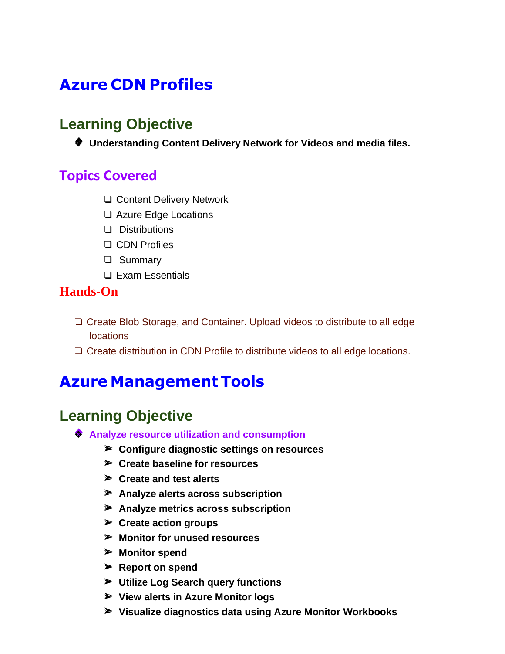# **Azure CDN Profiles**

### **Learning Objective**

❖ **Understanding Content Delivery Network for Videos and media files.**

### **Topics Covered**

- ❏ Content Delivery Network
- ❏ Azure Edge Locations
- ❏ Distributions
- ❏ CDN Profiles
- ❏ Summary
- ❏ Exam Essentials

#### **Hands-On**

- ❏ Create Blob Storage, and Container. Upload videos to distribute to all edge **locations**
- ❏ Create distribution in CDN Profile to distribute videos to all edge locations.

# **Azure Management Tools**

- ❖ **Analyze resource utilization and consumption**
	- ➢ **Configure diagnostic settings on resources**
	- ➢ **Create baseline for resources**
	- ➢ **Create and test alerts**
	- ➢ **Analyze alerts across subscription**
	- ➢ **Analyze metrics across subscription**
	- ➢ **Create action groups**
	- ➢ **Monitor for unused resources**
	- ➢ **Monitor spend**
	- ➢ **Report on spend**
	- ➢ **Utilize Log Search query functions**
	- ➢ **View alerts in Azure Monitor logs**
	- ➢ **Visualize diagnostics data using Azure Monitor Workbooks**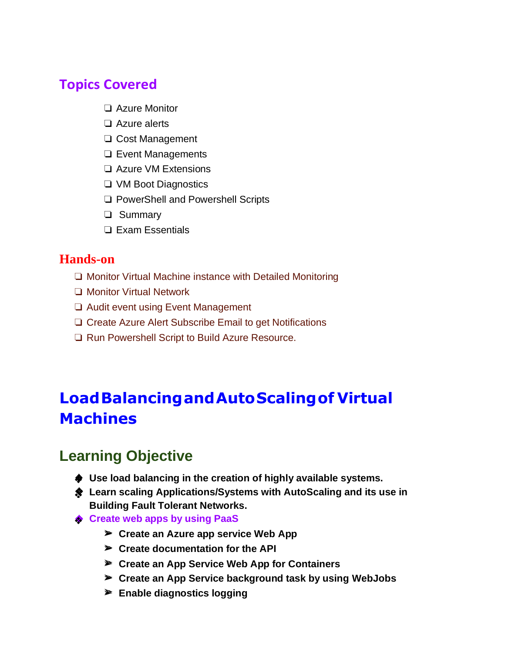- ❏ Azure Monitor
- ❏ Azure alerts
- ❏ Cost Management
- ❏ Event Managements
- ❏ Azure VM Extensions
- ❏ VM Boot Diagnostics
- ❏ PowerShell and Powershell Scripts
- ❏ Summary
- ❏ Exam Essentials

#### **Hands-on**

- ❏ Monitor Virtual Machine instance with Detailed Monitoring
- ❏ Monitor Virtual Network
- ❏ Audit event using Event Management
- ❏ Create Azure Alert Subscribe Email to get Notifications
- ❏ Run Powershell Script to Build Azure Resource.

# **LoadBalancingandAutoScalingof Virtual Machines**

- **Use load balancing in the creation of highly available systems.** ❖
- **Learn scaling Applications/Systems with AutoScaling and its use in**  ❖ **Building Fault Tolerant Networks.**
- **♦ Create web apps by using PaaS** 
	- ➢ **Create an Azure app service Web App**
	- ➢ **Create documentation for the API**
	- ➢ **Create an App Service Web App for Containers**
	- ➢ **Create an App Service background task by using WebJobs**
	- ➢ **Enable diagnostics logging**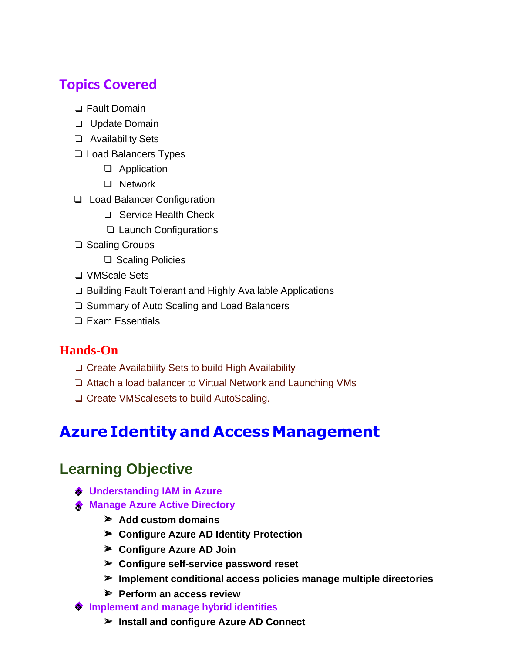- ❏ Fault Domain
- ❏ Update Domain
- ❏ Availability Sets
- ❏ Load Balancers Types
	- ❏ Application
	- ❏ Network
- ❏ Load Balancer Configuration
	- ❏ Service Health Check
	- ❏ Launch Configurations
- ❏ Scaling Groups
	- ❏ Scaling Policies
- ❏ VMScale Sets
- ❏ Building Fault Tolerant and Highly Available Applications
- ❏ Summary of Auto Scaling and Load Balancers
- ❏ Exam Essentials

#### **Hands-On**

- ❏ Create Availability Sets to build High Availability
- ❏ Attach a load balancer to Virtual Network and Launching VMs
- ❏ Create VMScalesets to build AutoScaling.

# **AzureIdentityand AccessManagement**

- **♦ Understanding IAM in Azure**
- **◆ Manage Azure Active Directory** 
	- ➢ **Add custom domains**
	- ➢ **Configure Azure AD Identity Protection**
	- ➢ **Configure Azure AD Join**
	- ➢ **Configure self-service password reset**
	- ➢ **Implement conditional access policies manage multiple directories**
	- ➢ **Perform an access review**
- **Implement and manage hybrid identities** ❖
	- ➢ **Install and configure Azure AD Connect**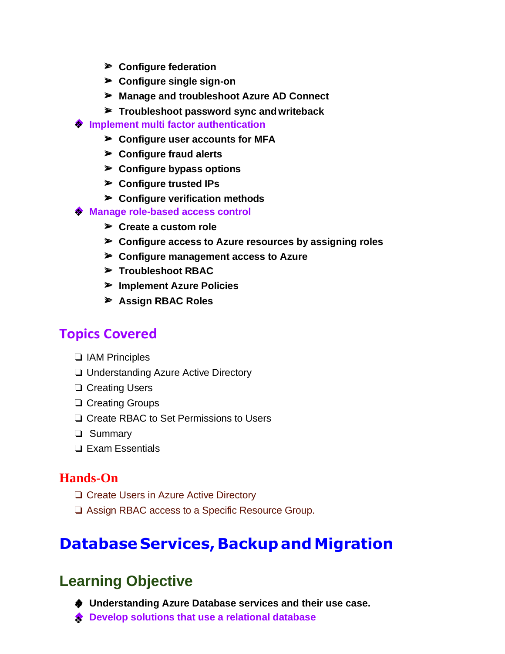- ➢ **Configure federation**
- ➢ **Configure single sign-on**
- ➢ **Manage and troubleshoot Azure AD Connect**
- ➢ **Troubleshoot password sync andwriteback**
- <sup>◆</sup> Implement multi factor authentication
	- ➢ **Configure user accounts for MFA**
	- ➢ **Configure fraud alerts**
	- ➢ **Configure bypass options**
	- ➢ **Configure trusted IPs**
	- ➢ **Configure verification methods**
- **Manage role-based access control** ❖
	- ➢ **Create a custom role**
	- ➢ **Configure access to Azure resources by assigning roles**
	- ➢ **Configure management access to Azure**
	- ➢ **Troubleshoot RBAC**
	- ➢ **Implement Azure Policies**
	- ➢ **Assign RBAC Roles**

- ❏ IAM Principles
- ❏ Understanding Azure Active Directory
- ❏ Creating Users
- ❏ Creating Groups
- ❏ Create RBAC to Set Permissions to Users
- ❏ Summary
- ❏ Exam Essentials

#### **Hands-On**

- ❏ Create Users in Azure Active Directory
- ❏ Assign RBAC access to a Specific Resource Group.

# **Database Services, Backup and Migration**

- **♦ Understanding Azure Database services and their use case.**
- **◆ Develop solutions that use a relational database**